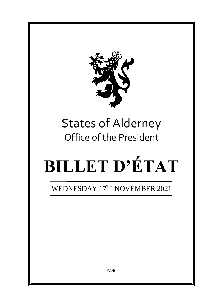

# States of Alderney Office of the President

# **BILLET D'ÉTAT**

WEDNESDAY 17<sup>TH</sup> NOVEMBER 2021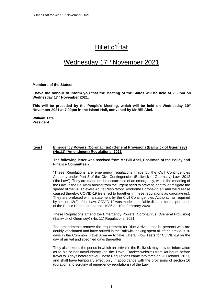## Billet d'État

### Wednesday 17<sup>th</sup> November 2021

**Members of the States:**

**I have the honour to inform you that the Meeting of the States will be held at 2.30pm on Wednesday 17th November 2021.** 

**This will be preceded by the People's Meeting, which will be held on Wednesday 10 th November 2021 at 7.00pm in the Island Hall, convened by Mr Bill Abel.**

**William Tate President**

#### **Item I Emergency Powers (Coronavirus) (General Provision) (Bailiwick of Guernsey) (No.11) (Amendment) Regulations, 2021**

#### **The following letter was received from Mr Bill Abel, Chairman of the Policy and Finance Committee:-**

"These Regulations are emergency regulations made by the Civil Contingencies Authority under Part 3 of the Civil Contingencies (Bailiwick of Guernsey) Law, 2012 ('the Law"). They are made on the occurrence of an emergency, within the meaning of the Law, in the Bailiwick arising from the urgent need to prevent, control or mitigate the spread of the virus Severe Acute Respiratory Syndrome Coronavirus 2 and the disease caused thereby, COVID-19 (referred to together in these regulations as coronavirus). They are prefaced with a statement by the Civil Contingencies Authority, as required by section 12(2) of the Law. COVID-19 was made a notifiable disease for the purposes of the Public Health Ordinance, 1936 on 10th February 2020.

These Regulations amend the Emergency Powers (Coronavirus) (General Provision) (Bailiwick of Guernsey) (No. 11) Regulations, 2021.

The amendments remove the requirement for Blue Arrivals that is, persons who are doubly vaccinated and have arrived in the Bailiwick having spent all of the previous 10 days in the Common Travel Area — to take Lateral Flow Tests for COVID-19 on the day of arrival and specified days thereafter.

They also extend the period in which an arrival in the Bailiwick may provide information as to his or her travel history (on the Travel Tracker website) from 48 hours before travel to 8 days before travel. These Regulations came into force on 20 October, 2021, and shall have temporary effect only in accordance with the provisions of section 16 (duration and scrutiny of emergency regulations) of the Law.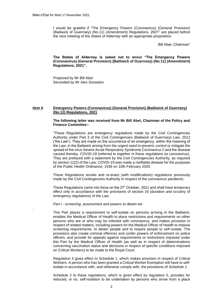I would be grateful if "The Emergency Powers (Coronavirus) (General Provision) (Bailiwick of Guernsey) (No.11) (Amendment) Regulations, 2021" are placed before the next meeting of the States of Alderney with an appropriate proposition.

Bill Abel, Chairman"

**The States of Alderney is asked not to annul "The Emergency Powers (Coronavirus) (General Provision) (Bailiwick of Guernsey) (No.11) (Amendment) Regulations, 2021".**

Proposed by Mr Bill Abel Seconded by Mr Alex Snowdon

#### **Item II Emergency Powers (Coronavirus) (General Provision) (Bailiwick of Guernsey) (No.12) Regulations, 2021**

#### **The following letter was received from Mr Bill Abel, Chairman of the Policy and Finance Committee:-**

"These Regulations are emergency regulations made by the Civil Contingencies Authority under Part 3 of the Civil Contingencies (Bailiwick of Guernsey) Law, 2012 ('the Law"). They are made on the occurrence of an emergency, within the meaning of the Law, in the Bailiwick arising from the urgent need to prevent, control or mitigate the spread of the virus Severe Acute Respiratory Syndrome Coronavirus 2 and the disease caused thereby, COVID-19 (referred to together in these regulations as coronavirus). They are prefaced with a statement by the Civil Contingencies Authority, as required by section 12(2) of the Law. COVID-19 was made a notifiable disease for the purposes of the Public Health Ordinance, 1936 on 10th February 2020.

These Regulations revoke and re-enact (with modifications) regulations previously made by the Civil Contingencies Authority in respect of the coronavirus pandemic.

These Regulations came into force on the 27" October, 2021 and shall have temporary effect only in accordance with the provisions of section 16 (duration and scrutiny of emergency regulations) of the Law.

#### *Part I - screening, assessment and powers to detain etc*

*.*

This Part places a requirement to self-isolate on persons arriving in the Bailiwick, enables the Medical Officer of Health to place restrictions and requirements on other persons who are or who may be infected with coronavirus, and makes provision in respect of related matters, including powers for the Medical Officer of Health to impose screening requirements, to detain people and to require people to self-isolate. The provisions also create criminal offences and confer powers of enforcement on police officers, and provide for appeals against requirements or restrictions imposed under this Part by the Medical Officer of Health (as well as in respect of determinations concerning vaccination status and decisions in respect of specific conditions imposed on Critical Workers) to be made to the Royal Court.

Regulation 4 gives effect to Schedule 1, which makes provision in respect of Critical Workers. A person who has been granted a Critical Worker Exemption will have to selfisolate in accordance with, and otherwise comply with, the provisions of Schedule 1.

Schedule 2 to these regulations, which is given effect by regulation 5, provides for reduced, or no, self-isolation to be undertaken by persons who arrive from a place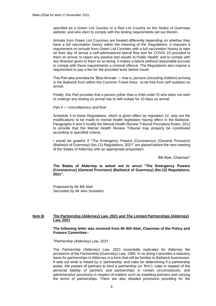specified as a Green List Country or a Red List Country on the States of Guernsey website, and who elect to comply with the testing requirements set out therein.

Arrivals from Green List Countries are treated differently depending on whether they have a full vaccination history within the meaning of the Regulations. It imposes a requirement on arrivals from Green List Counties with a full vaccination history to take on their day of arrival a self-administered lateral flow test for COVID 19 provided to them on arrival; to report any positive test results to Public Health; and to comply with any direction given to them on so doing. It makes a failure (without reasonable excuse) to comply with these requirements a criminal offence. The Regulations also impose a requirement to pay a fee for the provided tests before travel.

This Part also provides for 'Blue Arrivals' — that is, persons (including children) arriving in the Bailiwick from within the Common Travel Area - to be free from self-isolation on arrival.

Finally, this Part provides that a person (other than a child under 5) who does not wish to undergo any testing on arrival has to self-isolate for 10 days on arrival.

#### *Part II — miscellaneous and final*

Schedule 3 to these Regulations, which is given effect by regulation 22, sets out the modifications to be made to mental health legislation having effect in the Bailiwick. Paragraphs 4 and 5 modify the Mental Health Review Tribunal Procedure Rules, 2012 to provide that the Mental Health Review Tribunal may properly be constituted according to specified criteria.

I would be grateful if "The Emergency Powers (Coronavirus) (General Provision) (Bailiwick of Guernsey) (No.12) Regulations, 2021" are placed before the next meeting of the States of Alderney with an appropriate proposition.

Bill Abel, Chairman"

**The States of Alderney is asked not to annul "The Emergency Powers (Coronavirus) (General Provision) (Bailiwick of Guernsey) (No.12) Regulations, 2021".**

Proposed by Mr Bill Abel Seconded by Mr Alex Snowdon

#### **Item III The Partnership (Alderney) Law, 2021 and The Limited Partnerships (Alderney) Law, 2021**

**The following letter was received from Mr Bill Abel, Chairman of the Policy and Finance Committee:-**

*"Partnership (Alderney) Law, 2021*

The Partnership (Alderney) Law, 2021 essentially replicates for Alderney the provisions of the Partnership (Guernsey) Law, 1995. In so doing it provides a statutory basis for partnerships in Alderney in a form that will be familiar to Bailiwick businesses. It sets out what is meant by a 'partnership' and rules for determining if a partnership exists, the powers of partners to bind a partnership (or 'firm'); rules in respect of the personal liability of partners and partnerships in certain circumstances; and administrative provisions in respect of matters such as expelling partners and varying the terms of partnerships. There are also detailed provisions providing for the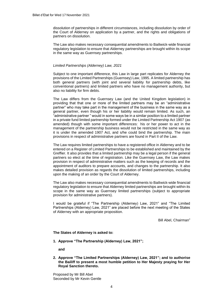dissolution of partnerships in different circumstances, including dissolution by order of the Court of Alderney on application by a partner, and the rights and obligations of partners on dissolution.

The Law also makes necessary consequential amendments to Bailiwick-wide financial regulatory legislation to ensure that Alderney partnerships are brought within its scope in the same way as Guernsey partnerships.

#### *Limited Partnerships (Alderney) Law, 2021*

Subject to one important difference, this Law in large part replicates for Alderney the provisions of the Limited Partnerships (Guernsey) Law, 1995. A limited partnership has both general partners (with joint and several liability for partnership debts, like conventional partners) and limited partners who have no management authority, but also no liability for firm debts.

The Law differs from the Guernsey Law (and the United Kingdom legislation) in providing that that one or more of the limited partners may be an "administrative partner" who may take part in the management of the business in the same way as a general partner, even though his or her liability would remain limited. As such, an "administrative partner " would in some ways be in a similar position to a limited partner in a private fund limited partnership formed under the Limited Partnership Act 1907 (as amended) though with some important differences: his or her power to act in the management of the partnership business would not be restricted in the same way as it is under the amended 1907 Act, and s/he could bind the partnership. The main provisions in respect of administrative partners are found in Part II of the Law.

The Law requires limited partnerships to have a registered office in Alderney and to be entered on a Register of Limited Partnerships to be established and maintained by the Greffier. It also provides that a limited partnership may be a legal person if the general partners so elect at the time of registration. Like the Guernsey Law, the Law makes provision in respect of administrative matters such as the keeping of records and the appointment of auditors to prepare accounts, and changes to the partnership. It also makes detailed provision as regards the dissolution of limited partnerships, including upon the making of an order by the Court of Alderney.

The Law also makes necessary consequential amendments to Bailiwick-wide financial regulatory legislation to ensure that Alderney limited partnerships are brought within its scope in the same way as Guernsey limited partnerships (subject to appropriate provision for administrative partners).

I would be grateful if "The Partnership (Alderney) Law, 2021" and "The Limited Partnerships (Alderney) Law, 2021" are placed before the next meeting of the States of Alderney with an appropriate proposition.

Bill Abel, Chairman"

**The States of Alderney is asked to:**

**1. Approve "The Partnership (Alderney) Law, 2021";** 

**and**

**2. Approve "The Limited Partnerships (Alderney) Law, 2021"; and to authorise the Bailiff to present a most humble petition to Her Majesty praying for Her Royal Sanction thereto.**

Proposed by Mr Bill Abel Seconded by Mr Kevin Gentle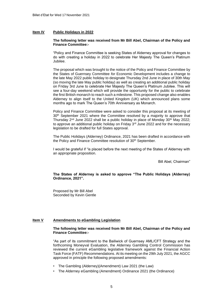#### **Item IV Public Holidays in 2022**

#### **The following letter was received from Mr Bill Abel, Chairman of the Policy and Finance Committee:-**

"Policy and Finance Committee is seeking States of Alderney approval for changes to do with creating a holiday in 2022 to celebrate Her Majesty The Queen's Platinum Jubilee.

The proposal which was brought to the notice of the Policy and Finance Committee by the States of Guernsey Committee *for* Economic Development includes a change to the late May 2022 public holiday to designate Thursday 2nd June in place of 30th May (so moving the late May public holiday) as well as creating an additional public holiday on Friday 3rd June to celebrate Her Majesty The Queen's Platinum Jubilee. This will see a four-day weekend which will provide the opportunity for the public to celebrate the first British monarch to reach such a milestone. This proposed change also enables Alderney to align itself to the United Kingdom (UK) which announced plans some months ago to mark The Queen's 70th Anniversary as Monarch.

Policy and Finance Committee were asked to consider this proposal at its meeting of 30th September 2021 where the Committee resolved by a majority to approve that Thursday 2<sup>nd</sup> June 2022 shall be a public holiday in place of Monday 30<sup>th</sup> May 2022; to approve an additional public holiday on Friday 3<sup>rd</sup> June 2022 and for the necessary legislation to be drafted for full States approval.

The Public Holidays (Alderney) Ordinance, 2021 has been drafted in accordance with the Policy and Finance Committee resolution of 30<sup>th</sup> September.

I would be grateful if "is placed before the next meeting of the States of Alderney with an appropriate proposition.

Bill Abel, Chairman"

#### **The States of Alderney is asked to approve "The Public Holidays (Alderney) Ordinance, 2021".**

Proposed by Mr Bill Abel Seconded by Kevin Gentle

#### **Item V Amendments to eGambling Legislation**

#### **The following letter was received from Mr Bill Abel, Chairman of the Policy and Finance Committee:-**

"As part of its commitment to the Bailiwick of Guernsey AML/CFT Strategy and the forthcoming Moneyval Evaluation, the Alderney Gambling Control Commission has reviewed the current eGambling legislative framework against the Financial Action Task Force (FATF) Recommendations. At its meeting on the 29th July 2021, the AGCC approved in principle the following proposed amendments:

- The Gambling (Alderney)(Amendment) Law 2021 (the Law)
- The Alderney eGambling (Amendment) Ordinance 2021 (the Ordinance)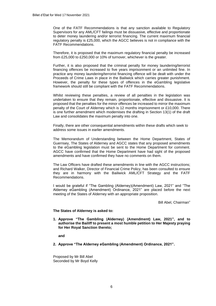One of the FATF Recommendations is that any sanction available to Regulatory Supervisors for any AML/CFT failings must be dissuasive, effective and proportionate to deter money laundering and/or terrorist financing. The current maximum financial regulatory penalty is £25,000, which the AGCC believes is not in compliance with the FATF Recommendations.

Therefore, it is proposed that the maximum regulatory financial penalty be increased from £25,000 to £250,000 or 10% of turnover, whichever is the greater.

Further, it is also proposed that the criminal penalty for money laundering/terrorist financing offences be increased to five years imprisonment or an unlimited fine. In practice any money laundering/terrorist financing offence will be dealt with under the Proceeds of Crime Laws in place in the Bailiwick which carries greater punishment. However, the penalty for these types of offences in the eGambling legislative framework should still be compliant with the FATF Recommendations.

Whilst reviewing these penalties, a review of all penalties in the legislation was undertaken to ensure that they remain, proportionate, effective and dissuasive. It is proposed that the penalties for the minor offences be increased to mirror the maximum penalty of the Court of Alderney which is 12 months imprisonment or £10,000. There is one further amendment which modernises the drafting in Section 13(1) of the draft Law and consolidates the maximum penalty into one.

Finally, there are other consequential amendments within these drafts which seek to address some issues in earlier amendments.

The Memorandum of Understanding between the Home Department, States of Guernsey, The States of Alderney and AGCC states that any proposed amendments to the eGambling legislation must be sent to the Home Department for comment. AGCC have confirmed that the Home Department have had sight of the proposed amendments and have confirmed they have no comments on them.

The Law Officers have drafted these amendments in line with the AGCC instructions; and Richard Walker, Director of Financial Crime Policy, has been consulted to ensure they are in harmony with the Bailiwick AML/CFT Strategy and the FATF Recommendations.

I would be grateful if "The Gambling (Alderney)(Amendment) Law, 2021" and "The Alderney eGambling (Amendment) Ordinance, 2021" are placed before the next meeting of the States of Alderney with an appropriate proposition.

Bill Abel, Chairman"

#### **The States of Alderney is asked to:**

**1. Approve "The Gambling (Alderney) (Amendment) Law, 2021", and to authorise the Bailiff to present a most humble petition to Her Majesty praying for Her Royal Sanction thereto;** 

**and**

**2. Approve "The Alderney eGambling (Amendment) Ordinance, 2021".**

Proposed by Mr Bill Abel Seconded by Mr Boyd Kelly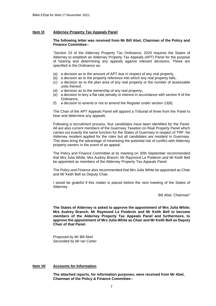#### **Item VI Alderney Property Tax Appeals Panel**

#### **The following letter was received from Mr Bill Abel, Chairman of the Policy and Finance Committee:-**

"Section 23 of the Alderney Property Tax Ordinance, 2020 requires the States of Alderney to establish an Alderney Property Tax Appeals (APT) Panel for the purpose of hearing and determining any appeals against relevant decisions. These are specified in the Ordinance as:

- (a) a decision as to the amount of APT due in respect of any real property,
- (b) a decision as to the property reference into which any real property falls,
- (c) a decision as to the plan area of any real property or the number of assessable units thereof,
- (d) a decision as to the ownership of any real property,
- (e) a decision to levy a flat rate penalty or interest in accordance with section 9 of the Ordinance,
- (f) a decision to amend or not to amend the Register under section 13(8).

The Chair of the APT Appeals Panel will appoint a Tribunal of three from the Panel to hear and determine any appeals.

Following a recruitment process, four candidates have been identified for the Panel. All are also current members of the Guernsey Taxation on Real Property Panel which carries out exactly the same function for the States of Guernsey in respect of TRP. No Alderney resident applied for the roles but all candidates are resident in Guernsey. This does bring the advantage of minimising the potential risk of conflict with Alderney property owners in the event of an appeal.

The Policy and Finance Committee at its meeting on 30th September recommended that Mrs Julia White, Mrs Audrey Branch, Mr Raymond Le Poidevin and Mr Keith Bell be appointed as members of the Alderney Property Tax Appeals Panel.

The Policy and Finance also recommended that Mrs Julia White be appointed as Chair and Mr Keith Bell as Deputy Chair.

I would be grateful if this matter is placed before the next meeting of the States of Alderney.

Bill Abel, Chairman"

**The States of Alderney is asked to approve the appointment of Mrs Julia White; Mrs Audrey Branch; Mr Raymond Le Poidevin and Mr Keith Bell to become members of the Alderney Property Tax Appeals Panel and furthermore, to approve the appointment of Mrs Julia White as Chair and Mr Keith Bell as Deputy Chair of that Panel.**

Proposed by Mr Bill Abel Seconded by Mr Ian Carter

#### **Item VII Accounts for Information**

**The attached reports, for information purposes, were received from Mr Abel, Chairman of the Policy & Finance Committee:-**